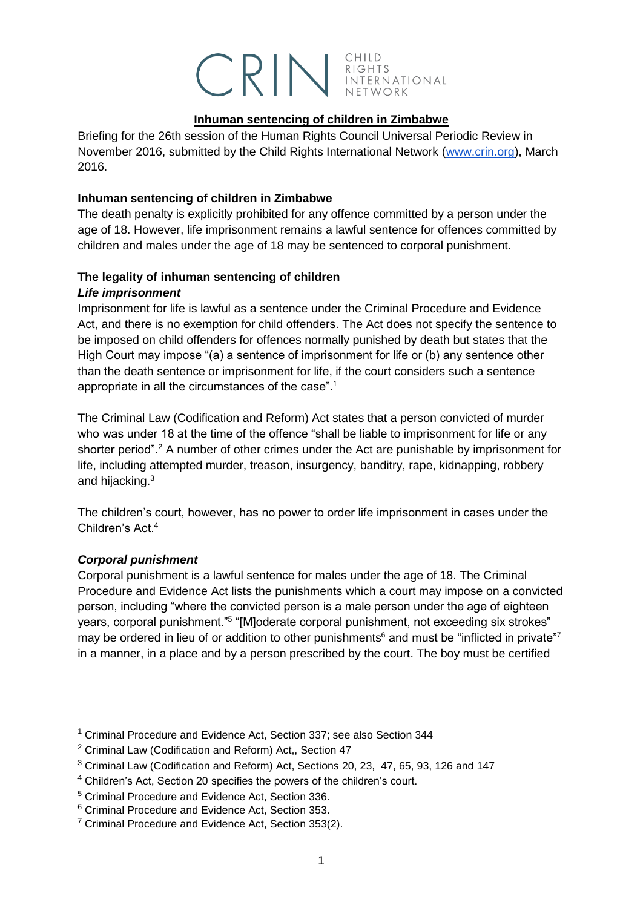# CRIM RIGHTS INTERNATIONAL

#### **Inhuman sentencing of children in Zimbabwe**

Briefing for the 26th session of the Human Rights Council Universal Periodic Review in November 2016, submitted by the Child Rights International Network [\(www.crin.org\)](http://www.crin.org/), March 2016.

## **Inhuman sentencing of children in Zimbabwe**

The death penalty is explicitly prohibited for any offence committed by a person under the age of 18. However, life imprisonment remains a lawful sentence for offences committed by children and males under the age of 18 may be sentenced to corporal punishment.

## **The legality of inhuman sentencing of children** *Life imprisonment*

Imprisonment for life is lawful as a sentence under the Criminal Procedure and Evidence Act, and there is no exemption for child offenders. The Act does not specify the sentence to be imposed on child offenders for offences normally punished by death but states that the High Court may impose "(a) a sentence of imprisonment for life or (b) any sentence other than the death sentence or imprisonment for life, if the court considers such a sentence appropriate in all the circumstances of the case".<sup>1</sup>

The Criminal Law (Codification and Reform) Act states that a person convicted of murder who was under 18 at the time of the offence "shall be liable to imprisonment for life or any shorter period".<sup>2</sup> A number of other crimes under the Act are punishable by imprisonment for life, including attempted murder, treason, insurgency, banditry, rape, kidnapping, robbery and hijacking.<sup>3</sup>

The children's court, however, has no power to order life imprisonment in cases under the Children's Act<sup>4</sup>

## *Corporal punishment*

-

Corporal punishment is a lawful sentence for males under the age of 18. The Criminal Procedure and Evidence Act lists the punishments which a court may impose on a convicted person, including "where the convicted person is a male person under the age of eighteen years, corporal punishment."<sup>5</sup> "[M]oderate corporal punishment, not exceeding six strokes" may be ordered in lieu of or addition to other punishments<sup>6</sup> and must be "inflicted in private"<sup>7</sup> in a manner, in a place and by a person prescribed by the court. The boy must be certified

<sup>1</sup> Criminal Procedure and Evidence Act, Section 337; see also Section 344

<sup>2</sup> Criminal Law (Codification and Reform) Act,, Section 47

<sup>3</sup> Criminal Law (Codification and Reform) Act, Sections 20, 23, 47, 65, 93, 126 and 147

<sup>4</sup> Children's Act, Section 20 specifies the powers of the children's court.

<sup>5</sup> Criminal Procedure and Evidence Act, Section 336.

<sup>6</sup> Criminal Procedure and Evidence Act, Section 353.

 $7$  Criminal Procedure and Evidence Act, Section 353(2).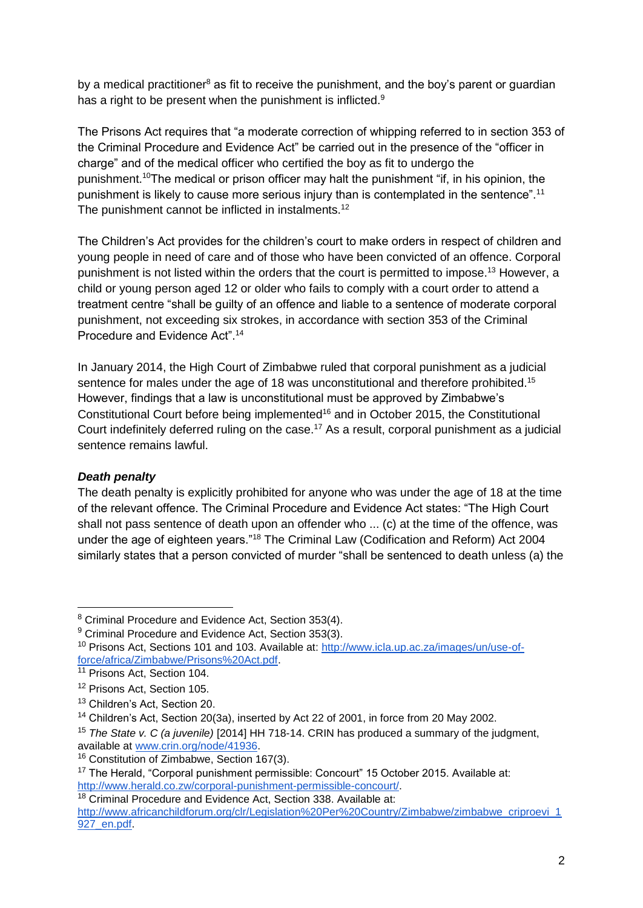by a medical practitioner<sup>8</sup> as fit to receive the punishment, and the boy's parent or guardian has a right to be present when the punishment is inflicted.<sup>9</sup>

The Prisons Act requires that "a moderate correction of whipping referred to in section 353 of the Criminal Procedure and Evidence Act" be carried out in the presence of the "officer in charge" and of the medical officer who certified the boy as fit to undergo the punishment.<sup>10</sup>The medical or prison officer may halt the punishment "if, in his opinion, the punishment is likely to cause more serious injury than is contemplated in the sentence".<sup>11</sup> The punishment cannot be inflicted in instalments.<sup>12</sup>

The Children's Act provides for the children's court to make orders in respect of children and young people in need of care and of those who have been convicted of an offence. Corporal punishment is not listed within the orders that the court is permitted to impose.<sup>13</sup> However, a child or young person aged 12 or older who fails to comply with a court order to attend a treatment centre "shall be guilty of an offence and liable to a sentence of moderate corporal punishment, not exceeding six strokes, in accordance with section 353 of the Criminal Procedure and Evidence Act".<sup>14</sup>

In January 2014, the High Court of Zimbabwe ruled that corporal punishment as a judicial sentence for males under the age of 18 was unconstitutional and therefore prohibited.<sup>15</sup> However, findings that a law is unconstitutional must be approved by Zimbabwe's Constitutional Court before being implemented<sup>16</sup> and in October 2015, the Constitutional Court indefinitely deferred ruling on the case.<sup>17</sup> As a result, corporal punishment as a judicial sentence remains lawful.

## *Death penalty*

-

The death penalty is explicitly prohibited for anyone who was under the age of 18 at the time of the relevant offence. The Criminal Procedure and Evidence Act states: "The High Court shall not pass sentence of death upon an offender who ... (c) at the time of the offence, was under the age of eighteen years."<sup>18</sup> The Criminal Law (Codification and Reform) Act 2004 similarly states that a person convicted of murder "shall be sentenced to death unless (a) the

<sup>8</sup> Criminal Procedure and Evidence Act, Section 353(4).

<sup>&</sup>lt;sup>9</sup> Criminal Procedure and Evidence Act, Section 353(3).

<sup>&</sup>lt;sup>10</sup> Prisons Act, Sections 101 and 103. Available at: [http://www.icla.up.ac.za/images/un/use-of](http://www.icla.up.ac.za/images/un/use-of-force/africa/Zimbabwe/Prisons%20Act.pdf)[force/africa/Zimbabwe/Prisons%20Act.pdf.](http://www.icla.up.ac.za/images/un/use-of-force/africa/Zimbabwe/Prisons%20Act.pdf)

<sup>&</sup>lt;sup>11</sup> Prisons Act, Section 104.

<sup>&</sup>lt;sup>12</sup> Prisons Act, Section 105.

<sup>&</sup>lt;sup>13</sup> Children's Act, Section 20.

<sup>14</sup> Children's Act, Section 20(3a), inserted by Act 22 of 2001, in force from 20 May 2002.

<sup>15</sup> *The State v. C (a juvenile)* [2014] HH 718-14. CRIN has produced a summary of the judgment, available at [www.crin.org/node/41936.](http://www.crin.org/node/41936)

<sup>16</sup> Constitution of Zimbabwe, Section 167(3).

<sup>&</sup>lt;sup>17</sup> The Herald, "Corporal punishment permissible: Concourt" 15 October 2015. Available at: [http://www.herald.co.zw/corporal-punishment-permissible-concourt/.](http://www.herald.co.zw/corporal-punishment-permissible-concourt/)

<sup>&</sup>lt;sup>18</sup> Criminal Procedure and Evidence Act, Section 338, Available at: [http://www.africanchildforum.org/clr/Legislation%20Per%20Country/Zimbabwe/zimbabwe\\_criproevi\\_1](http://www.africanchildforum.org/clr/Legislation%20Per%20Country/Zimbabwe/zimbabwe_criproevi_1927_en.pdf) 927\_en.pdf